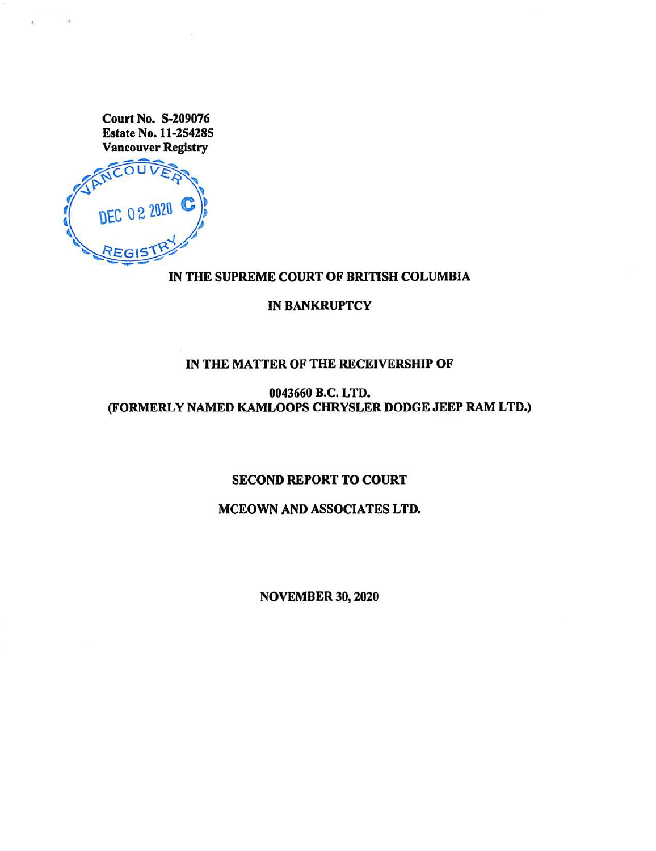Court No. S-209076 Estate No. 11-254285 Vancouver Registry



#### IN THE SUPREME COURT OF BRITISH COLUMBIA

IN BANKRUPTCY

## IN THE MATTER OF THE RECEIVERSHIP OF

0043660 B.C. LTD. (FORMERLY NAMED KAMLOOPS CHRYSLER DODGE JEEP RAM LTD.)

SECOND REPORT TO COURT

MCEOWN AND ASSOCIATES LTD.

NOVEMBER 30, 2020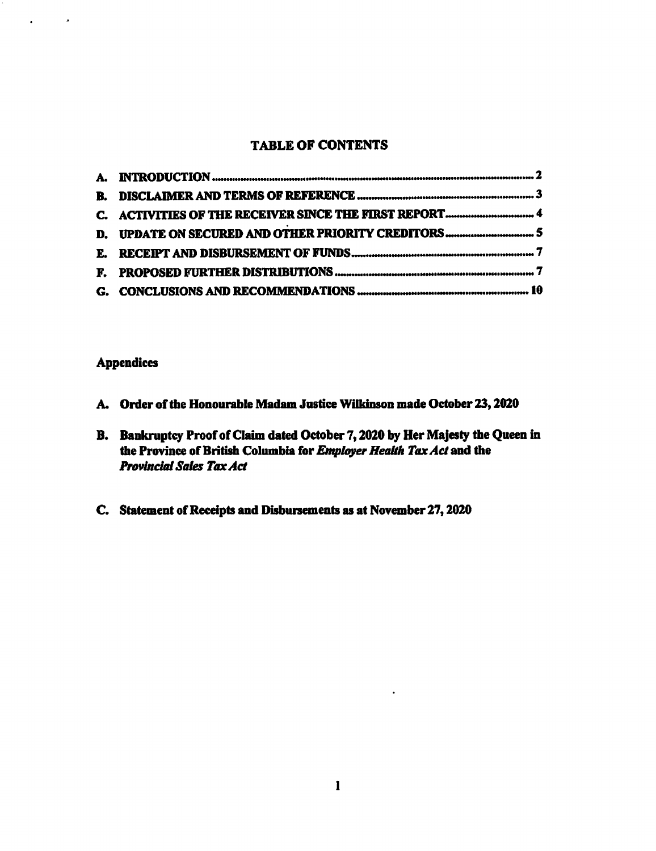### TABLE OF CONTENTS

## Appendices

 $\mathbf{r}$ 

 $\sim$   $\sim$ 

- A. Order of the Honourable Madam Justice Wilkinson made October 23, 2020
- B. Bankruptcy Proof of Claim dated October 7, 2020 by Her Majesty the Queen in the Province of British Columbia for Employer Health Tax Act and the **Provincial Sales Tax Act**
- C. Statement of Receipts and Disbursements as at November 27, 2020

 $\ddot{\phantom{a}}$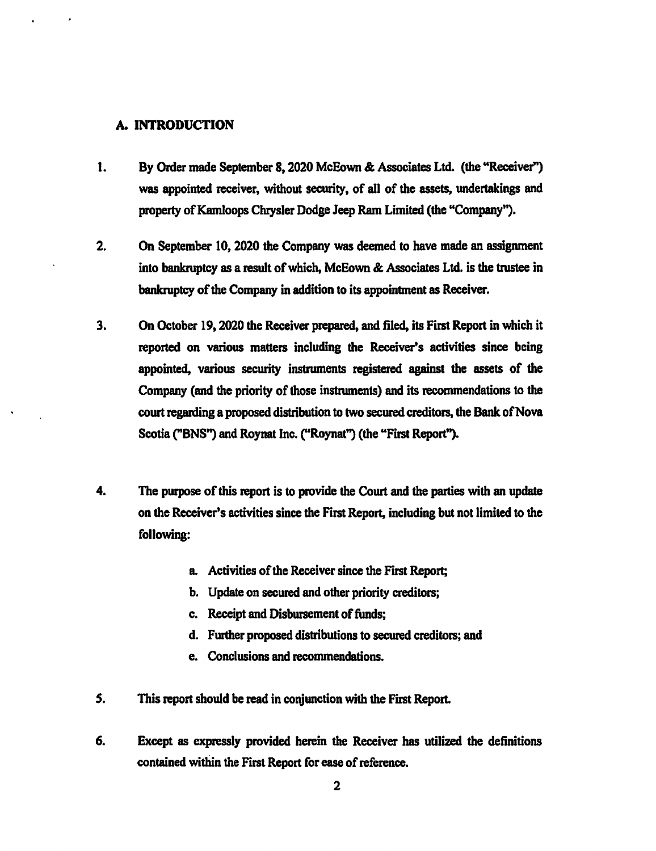#### A. INTRODUCTION

- 1. By Order made September 8, 2020 McEown & Associates Ltd. (the "Receiver") was appointed receiver, without security, of all of the assets, undertakings and property of Kamloops Chrysler Dodge Jeep Ram Limited (the "Company").
- 2. On September 10, 2020 the Company was deemed to have made an assignment into bankruptcy as a result of which, McEown & Associates Ltd. is the trustee in bankruptcy of the Company in addition to its appointment as Receiver.
- 3. On October 19, 2020 the Receiver prepared, and filed, its First Report in which it reported on various matters including the Receiver's activities since being appointed, various security instruments registered against the assets of the Company (and the priority of those instruments) and its recommendations to the court regarding a proposed distribution to two secured creditors, the Bank of Nova Scotia ("BNS") and Roynat Inc. ("Roynat") (the "First Report").
- 4. The purpose of this report is to provide the Court and the parties with an update on the Receiver's activities since the First Report, including but not limited to the following:
	- a. Activities of the Receiver since the First Report;
	- b. Update on secured and other priority creditors;
	- c. Receipt and Disbursement of funds;
	- d. Further proposed distributions to secured creditors; and
	- e. Conclusions and recommendations.
- 5. This report should be read in conjunction with the First Report.
- 6. Except as expressly provided herein the Receiver has utilized the definitions contained within the First Report for ease of reference.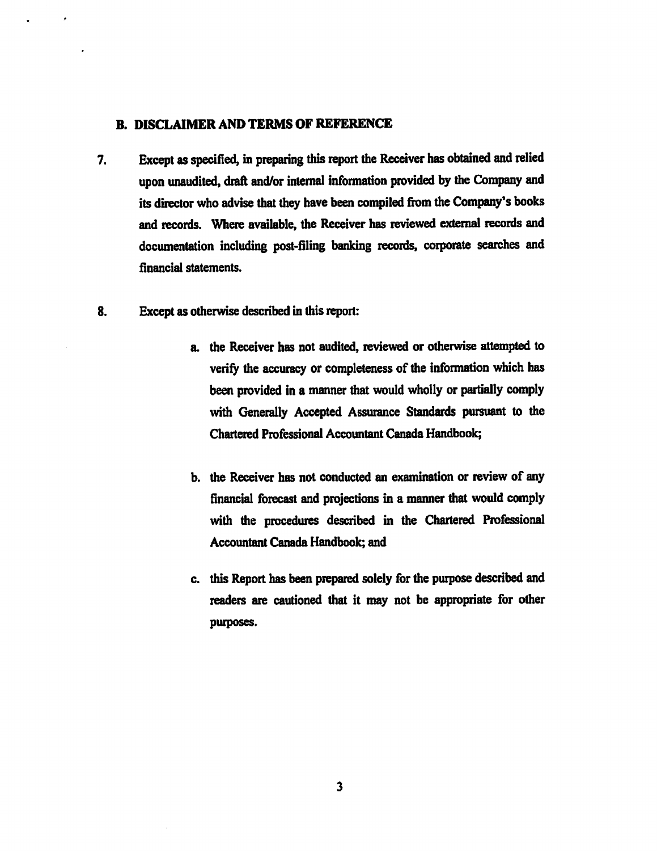#### B. DISCLAIMER AND TERMS OF REFERENCE

- 7. Except as specified, in preparing this report the Receiver has obtained and relied upon unaudited, draft and/or internal information provided by the Company and its director who advise that they have been compiled from the Company's books and records. Where available, the Receiver has reviewed external records and documentation including post-filing banking records, corporate searches and financial statements.
- 8. Except as otherwise described in this report:
	- a. the Receiver has not audited, reviewed or otherwise attempted to verify the accuracy or completeness of the information which has been provided in a manner that would wholly or partially comply with Generally Accepted Assurance Standards pursuant to the Chartered Professional Accountant Canada Handbook;
	- b. the Receiver has not conducted an examination or review of any financial forecast and projections in a manner that would comply with the procedures described in the Chartered Professional Accountant Canada Handbook; and
	- c. this Report has been prepared solely for the purpose described and readers are cautioned that it may not be appropriate for other purposes.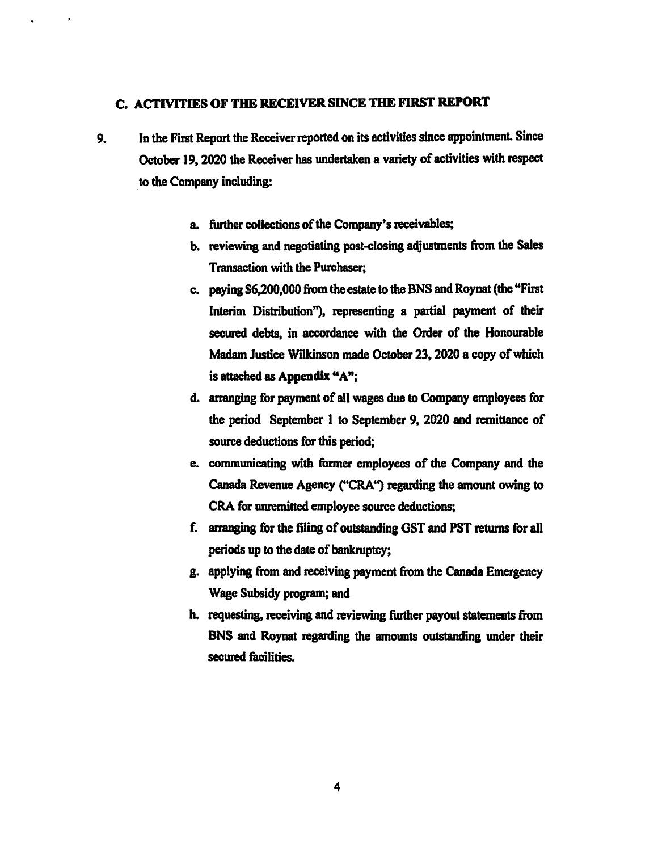## C. ACTIVITIES OF THE RECEIVER SINCE THE FIRST REPORT

- 9. In the First Report the Receiver reported on its activities since appointment. Since October 19, 2020 the Receiver has undertaken a variety of activities with respect to the Company including:
	- a. further collections of the Company's receivables;
	- b. reviewing and negotiating post-closing adjustments from the Sales Transaction with the Purchaser;
	- c. paying \$6,200,000 from the estate to the BNS and Roynat (the "First Interim Distribution"), representing a partial payment of their secured debts, in accordance with the Order of the Honourable Madam Justice Wilkinson made October 23, 2020 a copy of which is attached as Appendix "A";
	- d. arranging for payment of all wages due to Company employees for the period September 1 to September 9, 2020 and remittance of source deductions for this period;
	- e. communicating with former employees of the Company and the Canada Revenue Agency ("CRA") regarding the amount owing to CRA for umernitted employee source deductions;
	- f. arranging for the filing of outstanding GST and PST returns for all periods up to the date of bankruptcy;
	- g. applying from and receiving payment from the Canada Emergency Wage Subsidy program; and
	- h. requesting, receiving and reviewing further payout statements from BNS and Roynat regarding the amounts outstanding under their secured facilities.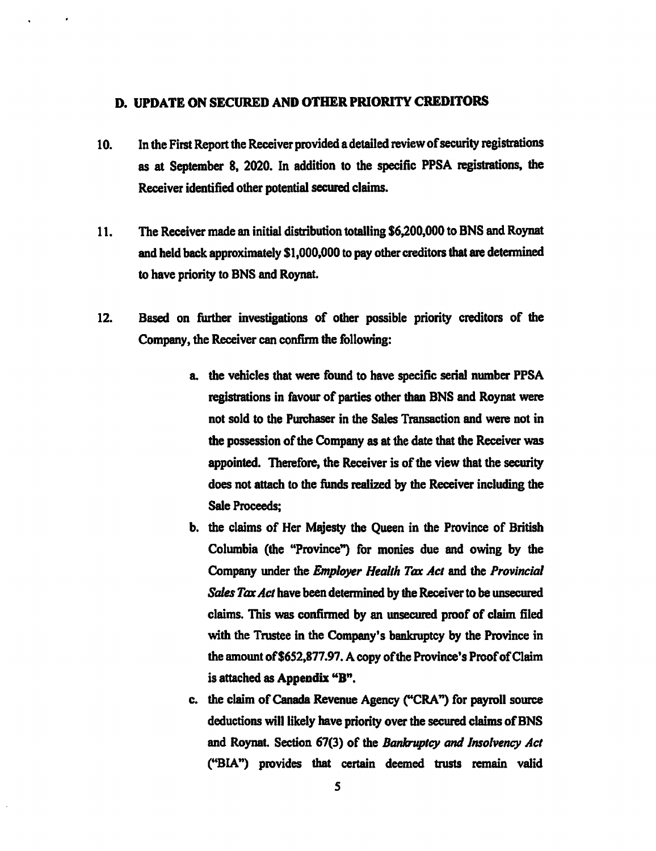#### D. UPDATE ON SECURED AND OTHER PRIORITY CREDITORS

- 10. In the First Report the Receiver provided a detailed review of security registrations as at September 8, 2020. In addition to the specific PPSA registrations, the Receiver identified other potential secured claims.
- 11. The Receiver made an initial distribution totalling \$6,200,000 to BNS and Roynat and held back approximately \$1,000,000 to pay other creditors that are determined to have priority to BNS and Roynat.
- 12. Based on further investigations of other possible priority creditors of the Company, the Receiver can confirm the following:
	- a. the vehicles that were found to have specific serial number PPSA registrations in favour of parties other than BNS and Roynat were not sold to the Purchaser in the Sales Transaction and were not in the possession of the Company as at the date that the Receiver was appointed. Therefore, the Receiver is of the view that the security does not attach to the funds realized by the Receiver including the Sale Proceeds;
	- b. the claims of Her Majesty the Queen in the Province of British Columbia (the "Province") for monies due and owing by the Company under the Employer Health Tar Act and the Provincial Sales Tax Act have been determined by the Receiver to be unsecured claims. This was confirmed by an unsecured proof of claim filed with the Trustee in the Company's bankruptcy by the Province in the amount of \$652,877.97. A copy of the Province's Proof of Claim is attached as Appendix "B".
	- c. the claim of Canada Revenue Agency ("CRA") for payroll source deductions will likely have priority over the secured claims of BNS and Roynat. Section 67(3) of the Bankruptcy and Insolvency Act ("BIA") provides that certain deemed trusts remain valid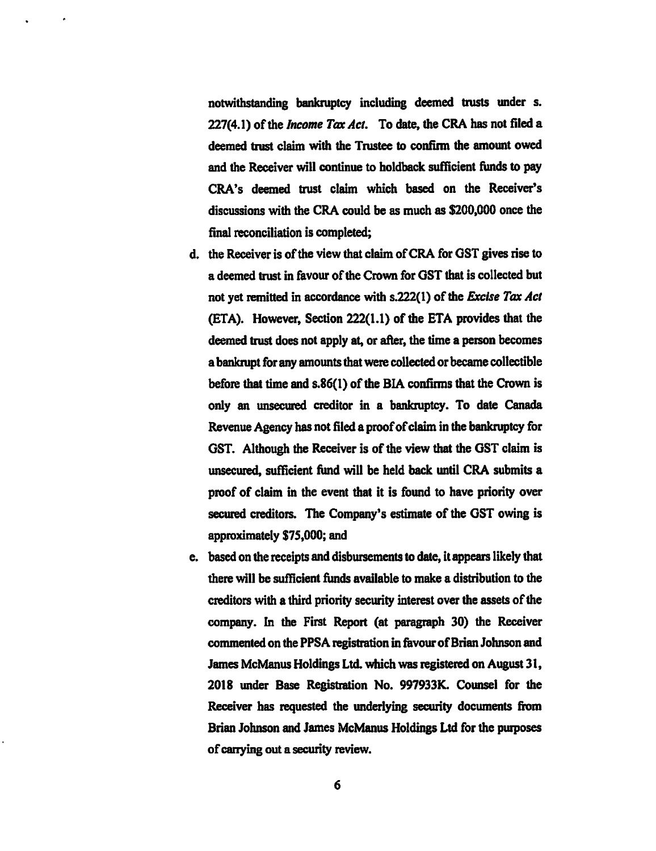notwithstanding bankruptcy including deemed trusts under s. 227(4.1) of the *Income Tax Act*. To date, the CRA has not filed a deemed trust claim with the Trustee to confirm the amount owed and the Receiver will continue to holdback sufficient funds to pay CRA's deemed trust claim which based on the Receiver's discussions with the CRA could be as much as \$200,000 once the final reconciliation is completed;

- d. the Receiver is of the view that claim of CRA for GST gives rise to a deemed trust in favour of the Crown for GST that is collected but not yet remitted in accordance with s.222(1) of the Excise Tax Act (ETA). However, Section 222(1.1) of the ETA provides that the deemed trust does not apply at, or after, the time a person becomes a bankrupt for any amounts that were collected or became collectible before that time and s.86(1) of the BIA confirms that the Crown is only an unsecured creditor in a bankruptcy. To date Canada Revenue Agency has not filed a proof of claim in the bankruptcy for GST. Although the Receiver is of the view that the GST claim is unsecured, sufficient fund will be held back until CRA submits a proof of claim in the event that it is found to have priority over secured creditors. The Company's estimate of the GST owing is approximately \$75,000; and
- e. based on the receipts and disbursements to date, it appears likely that there will be sufficient funds available to make a distribution to the creditors with a third priority security interest over the assets of the company. In the First Report (at paragraph 30) the Receiver commented on the PPSA registration in favour of Brian Johnson and James McManus Holdings Ltd. which was registered on August 31, 2018 under Base Registration No. 997933K. Counsel for the Receiver has requested the underlying security documents from Brian Johnson and James McManus Holdings Ltd for the purposes of carrying out a security review.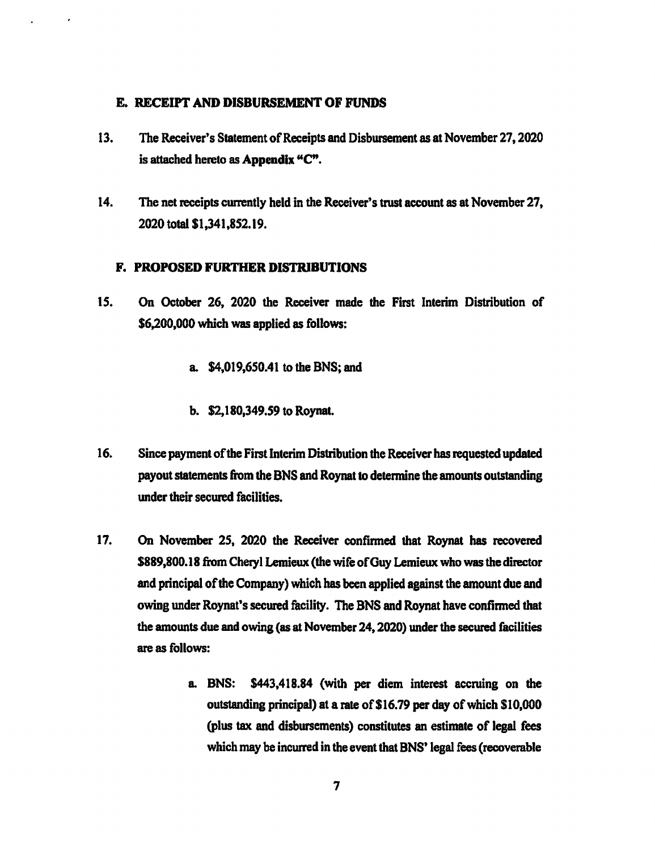#### E. RECEIPT AND DISBURSEMENT OF FUNDS

- 13. The Receiver's Statement of Receipts and Disbursement as at November 27, 2020 is attached hereto as Appendix "C".
- 14. The net receipts currently held in the Receiver's trust account as at November 27, 2020 total \$1,341,852.19.

#### F. PROPOSED FURTHER DISTRIBUTIONS

- 15. On October 26, 2020 the Receiver made the First Interim Distribution of \$6,200,000 which was applied as follows:
	- a. \$4,019,650.41 to the BNS; and
	- b. \$2,180,349.59 to Roynat.
- 16. Since payment of the First Interim Distribution the Receiver has requested updated payout statements from the BNS and Roynat to determine the amounts outstanding under their secured facilities.
- 17. On November 25, 2020 the Receiver confirmed that Roynat has recovered \$889,800.18 from Cheryl Lemieux (the wife of Guy Lemieux who was the director and principal of the Company) which has been applied against the amount due and owing under Roynat's secured facility. The BNS and Roynat have confirmed that the amounts due and owing (as at November 24, 2020) under the secured facilities are as follows:
	- a. BNS: \$443,418.84 (with per diem interest accruing on the outstanding principal) at a rate of \$16.79 per day of which \$10,000 (plus tax and disbursements) constitutes an estimate of legal fees which may be incurred in the event that BNS' legal fees (recoverable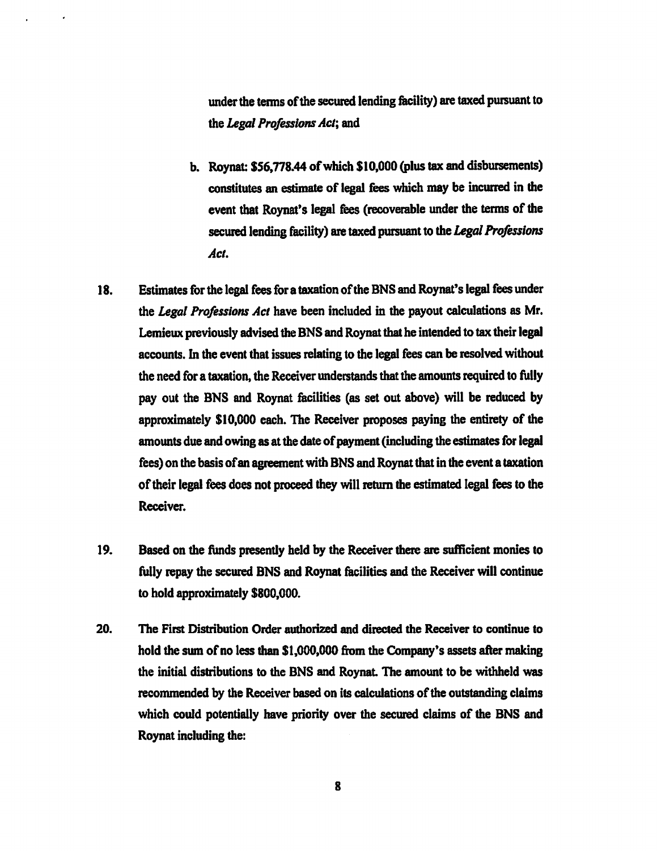under the terms of the secured lending facility) are taxed pursuant to the Legal Professions Act; and

- b. Roynat: \$56,778.44 of which \$10,000 (plus tax and disbursements) constitutes an estimate of legal fees which may be incurred in the event that Roynat's legal fees (recoverable under the terms of the secured lending facility) are taxed pursuant to the Legal Professions Act.
- 18. Estimates for the legal fees for a taxation of the BNS and Roynat's legal fees under the Legal Professions Act have been included in the payout calculations as Mr. Lemieux previously advised the BNS and Roynat that he intended to tax their legal accounts. In the event that issues relating to the legal fees can be resolved without the need for a taxation, the Receiver understands that the amounts required to fully pay out the BNS and Roynat facilities (as set out above) will be reduced by approximately \$10,000 each. The Receiver proposes paying the entirety of the amounts due and owing as at the date of payment (including the estimates for legal fees) on the basis of an agreement with BNS and Roynat that in the event a taxation of their legal fees does not proceed they will return the estimated legal fees to the Receiver.
- 19. Based on the funds presently held by the Receiver there are sufficient monies to fully repay the secured BNS and Roynat facilities and the Receiver will continue to hold approximately \$800,000.
- 20. The First Distribution Order authorized and directed the Receiver to continue to hold the sum of no less than \$1,000,000 from the Company's assets after making the initial distributions to the BNS and Roynat. The amount to be withheld was recommended by the Receiver based on its calculations of the outstanding claims which could potentially have priority over the secured claims of the BNS and Roynat including the: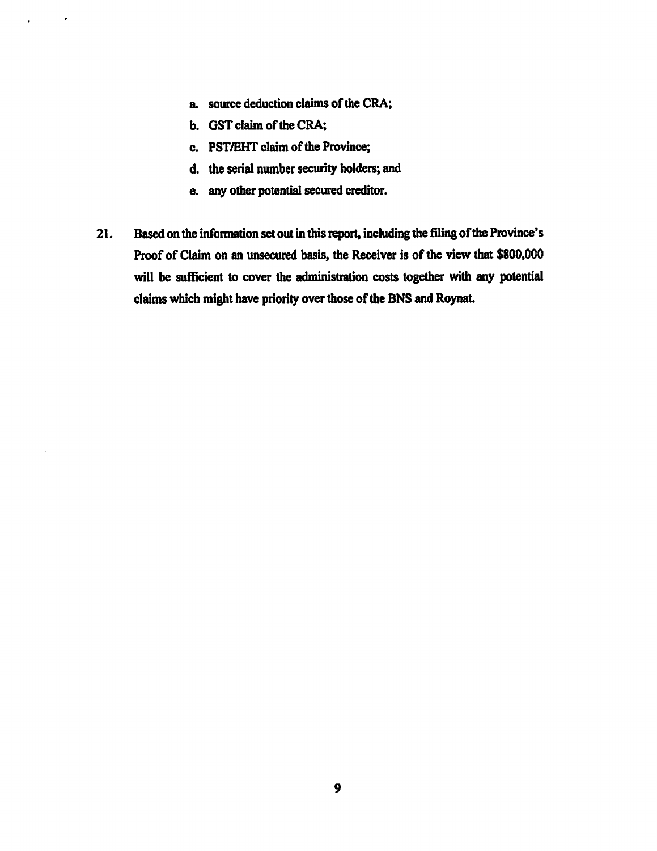- a. source deduction claims of the CRA;
- b. GST claim of the CRA;

 $\sim$   $\sim$ 

 $\ddot{\phantom{a}}$ 

- c. PST/EHT claim of the Province;
- d. the serial number security holders; and
- e. any other potential secured creditor.
- 21. Based on the information set out in this report, including the filing of the Province's Proof of Claim on an unsecured basis, the Receiver is of the view that \$800,000 will be sufficient to cover the administration costs together with any potential claims which might have priority over those of the BNS and Roynat.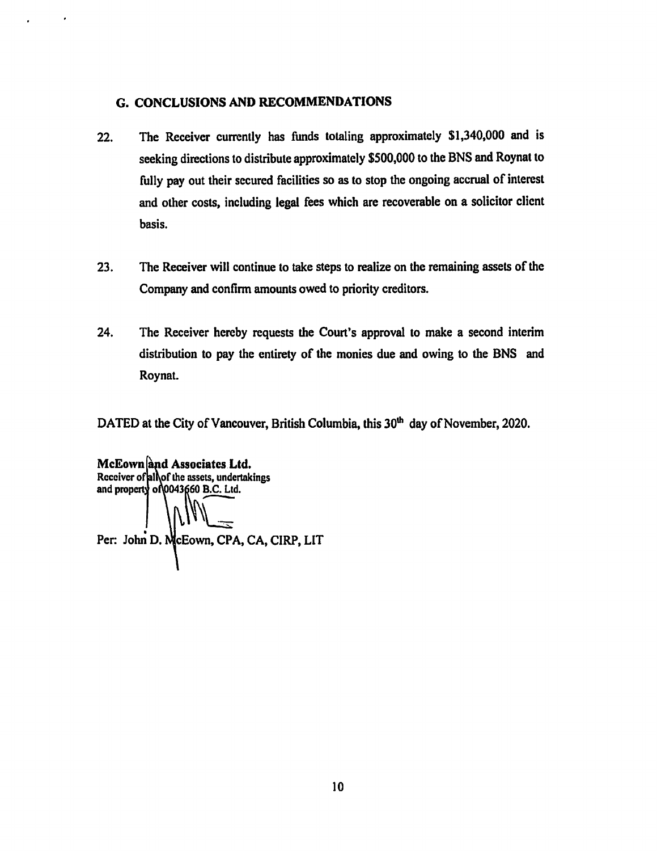#### G. CONCLUSIONS AND RECOMMENDATIONS

 $\bullet$ 

- 22. The Receiver currently has funds totaling approximately \$1,340,000 and is seeking directions to distribute approximately \$500,000 to the BNS and Roynat to fully pay out their secured facilities so as to stop the ongoing accrual of interest and other costs, including legal fees which are recoverable on a solicitor client basis.
- 23. The Receiver will continue to take steps to realize on the remaining assets of the Company and confirm amounts owed to priority creditors.
- 24. The Receiver hereby requests the Court's approval to make a second interim distribution to pay the entirety of the monies due and owing to the BNS and Roynat.

DATED at the City of Vancouver, British Columbia, this 30<sup>th</sup> day of November, 2020.

McEown and Associates Ltd. Receiver of all of the assets, undertakings and property of 0043660 B.C. Ltd. Per: John D. McEown, CPA, CA, CIRP, LIT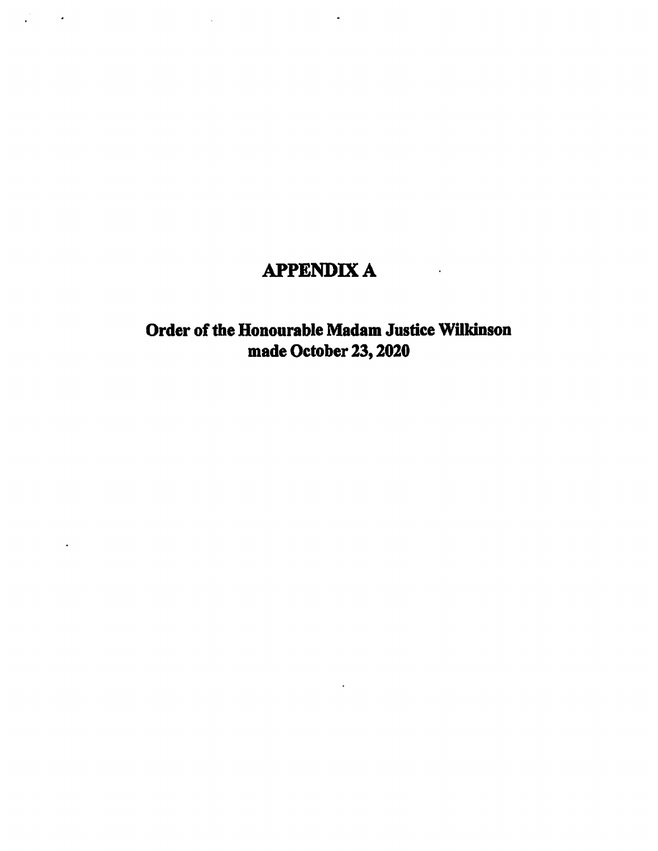# APPENDIX A

 $\sim 10$   $\mu$ 

 $\Box$ 

 $\mathbb{Z}_2$ 

 $\mathcal{L}^{\text{max}}$  , where  $\mathcal{L}^{\text{max}}$ 

 $\ddot{\phantom{a}}$ 

## Order of the Honourable Madam Justice Wilkinson made October 23, 2020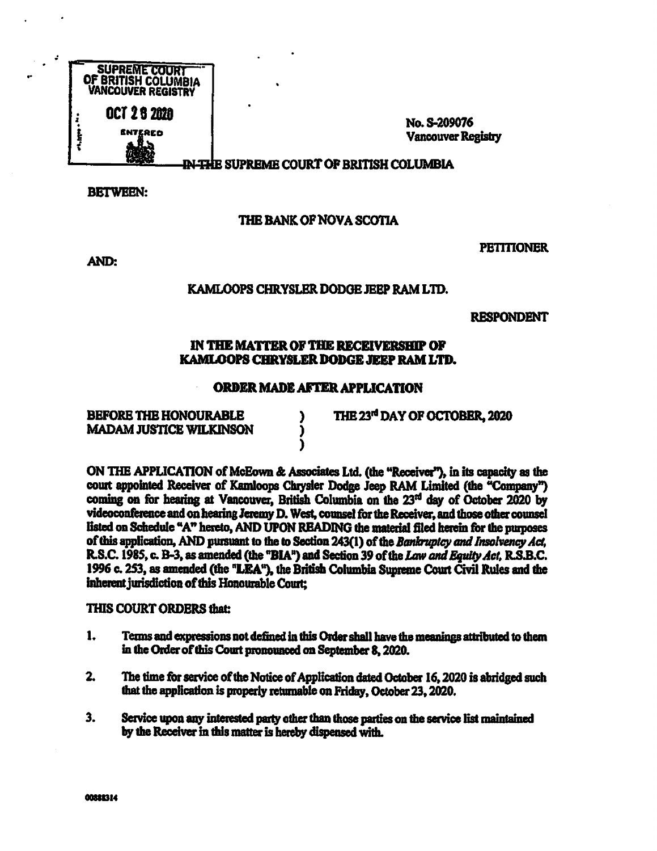

No. S-209076 Vancouver Registry

<del>IN TH</del>E SUPREME COURT OF BRITISH COLUMBIA

.

BETWEEN:

## THE BANK OF NOVA SCOTIA

AND:

**PETITIONER** 

#### KAMLOOPS CHRYSLER DODGE JEEP RAM LTD.

RESPONDENT

#### IN THE MATTER OF THE RECEIVERSHIP OF KAMLOOPS CHRYSLER DODGE JEEP RAM LTD.

#### ORDER MADE AFTER APPLICATION

)

BEFORE THE HONOURABLE ) THE 23<sup>rd</sup> DAY OF OCTOBER, 2020<br>MADAM JUSTICE WILKINSON **MADAM JUSTICE WILKINSON** 

ON THE APPLICATION of McEown & Associates Ltd. (the "Receive?), in its capacity as the court appointed Receiver of Kamloops Chrysler Dodge Jeep RAM Limited (the "Company") coming on for hearing at Vancouver, British Columbia on the 23rd day of October 2020 by videoconference and on hearing Jeremy D. West, counsel for the Receiver, and those other counsel listed on Schedule "A" hereto, AND UPON READING the material filed herein for the purposes of this application, AND pursuant to the to Section 243(1) of the Bankruptcy and Insolvency Act, R.S.C. 1985, c. B-3, as amended (the "BIA") and Section 39 of the Law and Equity Act, R.S.B.C. 1996 C. 253, as amended (the "LEA"), the British Columbia Supreme Court Civil Rules and the inherent jurisdiction of this Honourable Court;

#### THIS COURT ORDERS that:

- 1. Terms and expressions not defined in this Order shall have the meanings attributed to them in the Order of this Court pronounced on September 8, 2020.
- 2. The time for service of the Notice of Application dated October 16, 2020 is abridged such that the application is properly returnable on Friday, October 23, 2020.
- 3. Service upon any interested party other than those parties on the service list maintained by the Receiver in this matter is hereby dispensed with.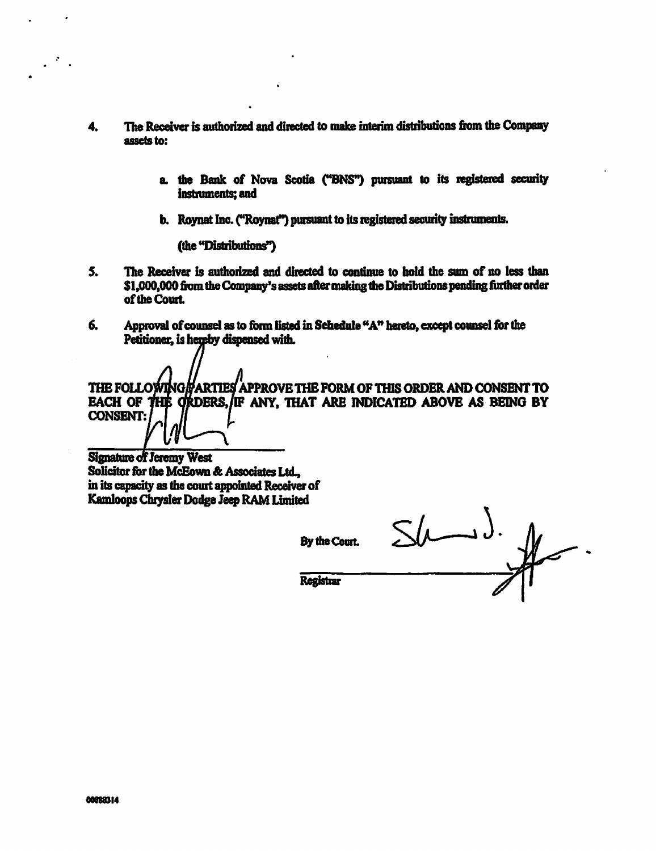- 4. The Receiver is authorized and directed to make interim distributions from the Company assets to:
	- a. the Bank of Nova Scotia ('ENS") pursuant to its registered security instruments; and
	- b. Roynat Inc. ("Roynat") pursuant to its registered security instruments.

(the "Distributions"

- S. The Receiver is authorized and directed to continue to hold the sum of no less than \$1,000,000 from the Company's assets alter making the Distributions pending further order of the Court.
- 6. Approval of counsel as to form listed in Schedule "A" hereto, except counsel for the Petitioner, is hereby dispensed with.

THE FOLLOWING PARTIES APPROVE THE FORM OF THIS ORDER AND CONSENT TO EACH OF THE ORDERS, IF ANY, THAT ARE INDICATED ABOVE AS BEING BY CONSENT:

**Signature of Jeremy West** Solicitor for the McEown & Associates Ltd., in its capacity as the court appointed Receiver of Kamloops Chrysler Dodge Jeep RAM Limited

By the Court.

**Registrar** 

 $\frac{1}{2}$  $\rightarrow$  ).  $\frac{1}{2}$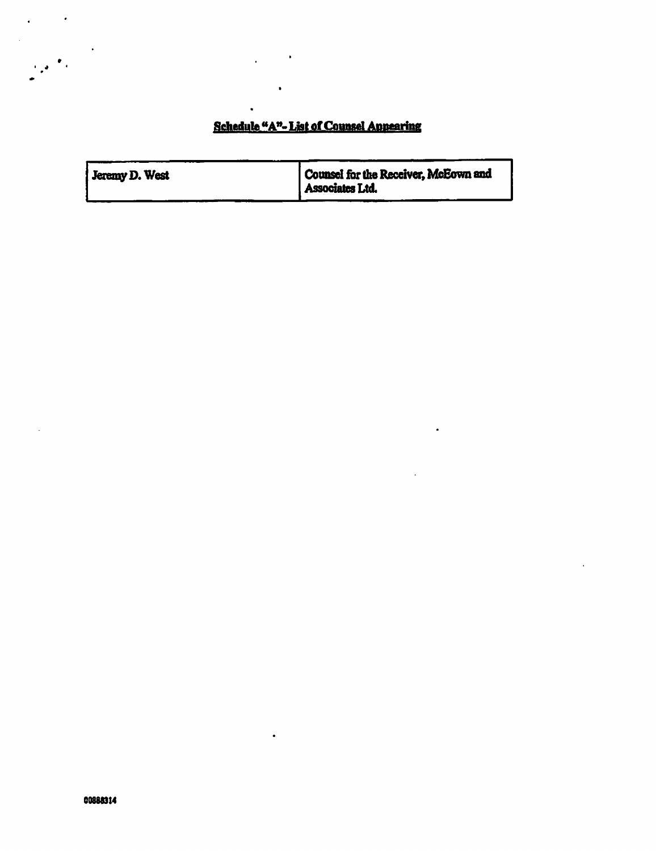## Schedule "A"- List of Counsel Appearing

| Jeremy D. West | Counsel for the Receiver, McEown and<br>Associates Ltd. |
|----------------|---------------------------------------------------------|
|                |                                                         |

 $\bullet$ 

 $\bullet$ 

 $\bullet$  .

 $\mathcal{F}_{\mathbf{z}}$  .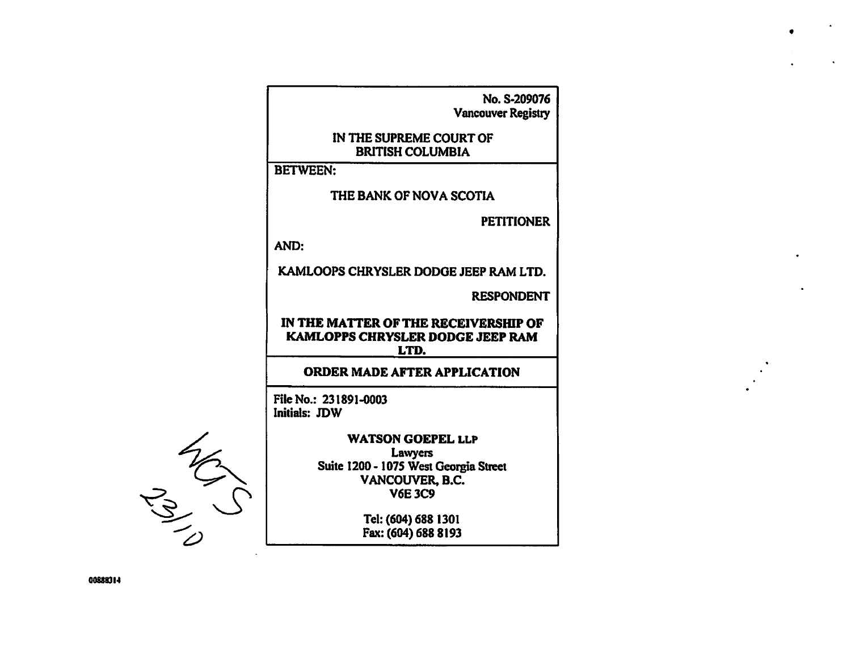| No. S-209076<br><b>Vancouver Registry</b>                                        |
|----------------------------------------------------------------------------------|
| IN THE SUPREME COURT OF<br><b>BRITISH COLUMBIA</b>                               |
| <b>BETWEEN:</b>                                                                  |
| THE BANK OF NOVA SCOTIA                                                          |
| <b>PETITIONER</b>                                                                |
| AND:                                                                             |
| KAMLOOPS CHRYSLER DODGE JEEP RAM LTD.                                            |
| <b>RESPONDENT</b>                                                                |
| IN THE MATTER OF THE RECEIVERSHIP OF<br>KAMLOPPS CHRYSLER DODGE JEEP RAM<br>LTD. |
| ORDER MADE AFTER APPLICATION                                                     |
| File No.: 231891-0003<br>Initials: JDW                                           |
| <b>WATSON GOEPEL LLP</b><br><b>Lawyers</b>                                       |
| Suite 1200 - 1075 West Georgia Street<br>VANCOUVER, B.C.                         |
| <b>V6E 3C9</b>                                                                   |
| Tel: (604) 688 1301                                                              |
| Fax: (604) 688 8193                                                              |
|                                                                                  |

 $\bullet$ 

 $\mathcal{A}^{\pm}$ 

00881014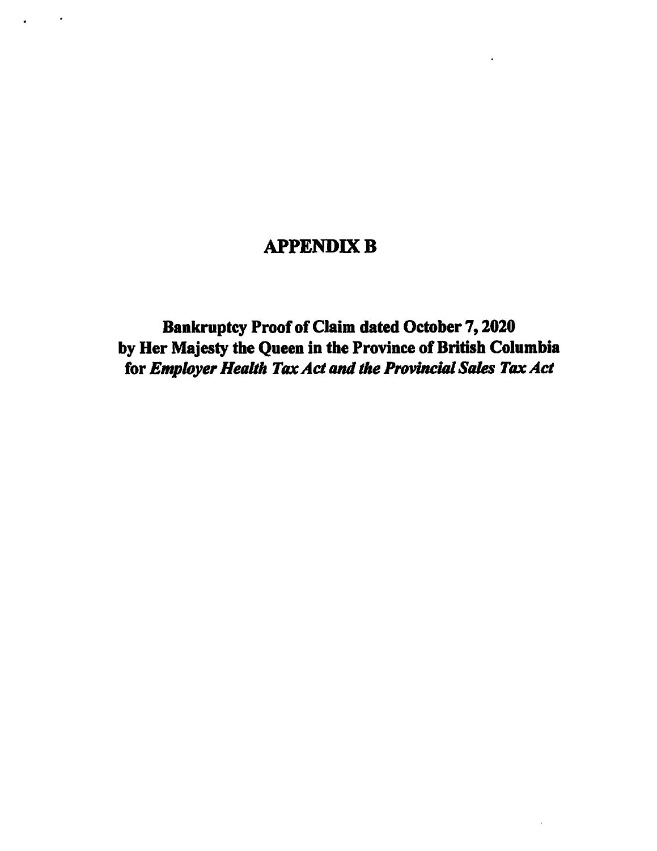## APPENDIX B

 $\mathcal{L}(\mathcal{A})$  and  $\mathcal{A}(\mathcal{A})$ 

Bankruptcy Proof of Claim dated October 7, 2020 by Her Majesty the Queen in the Province of British Columbia for Employer Health Tax Act and the Provincial Sales Tax Act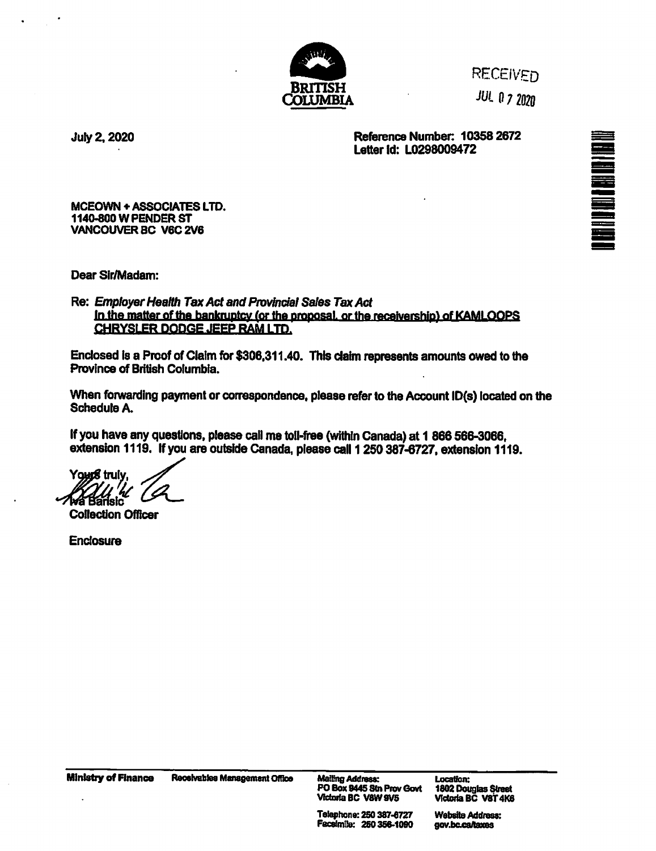

**RECEIVED** 

JUL 0 7 2020

July 2, 2020 Reference Number: 10358 2672 Letter Id: L0298009472

MCEOWN + ASSOCIATES LTD. 1140.800 W PENDER ST VANCOUVER SC V6C 2V6

Dear Sir/Madam:

Re: Employer Health Tax Act and Provincial Sales Tax Act in the matter of the bankruptcy (or the proposal, or the receivership) of KAMLOOPS CHRYSLER DODGE JEEP RAM LTD.

Enclosed is a Proof of Claim for \$306,311.40. This claim represents amounts owed to the Province of British Columbia.

When forwarding payment or correspondence, please refer to the Account ID(s) located on the Schedule A.

If you have any questions, please call me toll-free (within Canada) at 1 866 566-3066, extension 1119. If you are outside Canada, please call 1 250 387-6727, extension 1119.

Youn**g** trulv 41. ansic<sup>-</sup>

Collection Officer

**Enclosure** 

Ministry of Finance Receivables Management Office

Mailing Address:<br>PO Box 9445 Stn Prov Govt Victoria BC V8W 9V5

Location: 1802 Douglas Street Victoria BC V8T4K8

Telephone: 250 387-8727 Facsimile: 250358-1090 Website Address: gov.bc.ca/taxes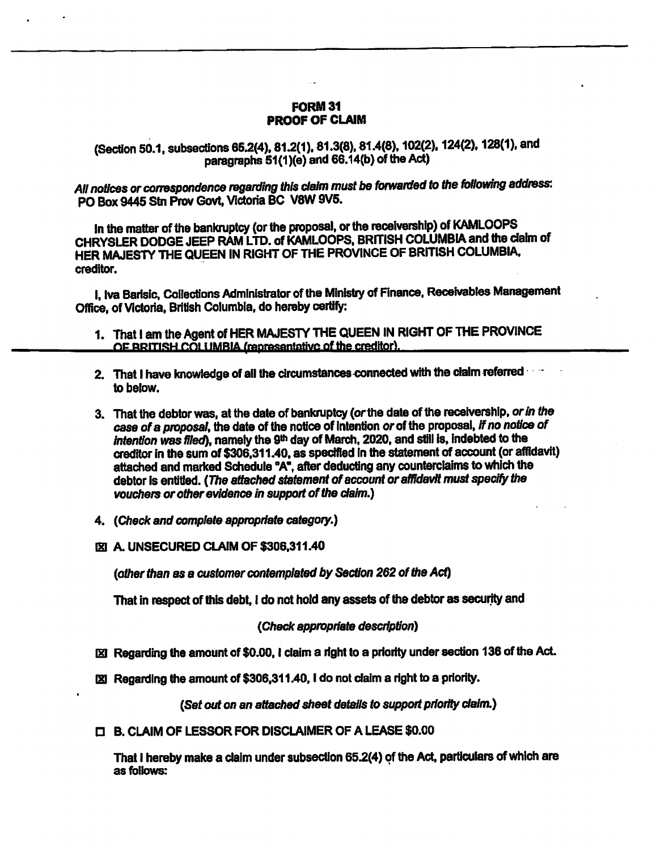#### FORM 31 PROOF OF CLAIM

(Section 50.1, subsections 65.2(4), 81.2(1), 81.3(8), 81.4(8), 102(2). 124(2). 12B(1), and paragraphs 61(1)(e) and 66.14(b) of the Act)

All notices or correspondence regarding this claim must be forwarded to the following address: PO Box 9445 Stn Prov Govt, Victoria BC V8W 9V5.

In the matter of the bankruptcy (or the proposal, or the receivership) of KAMLOOPS CHRYSLER DODGE JEEP RAM LTD. of KAMLOOPS, BRITISH COLUMBIA and the claim of HER MAJESTY THE QUEEN IN RIGHT OF THE PROVINCE OF BRITISH COLUMBIA, creditor.

I, Iva Barisic, Collections Administrator of the Ministry of Finance, Receivables Management Office, of Victoria, British Columbia, do hereby certify:

- 1. That I am the Agent of HER MAJESTY THE QUEEN IN RIGHT OF THE PROVINCE  $\Omega$  PRITISH  $\Omega$   $\Omega$  i IMBIA (representative of the creditor).
- 2. That I have knowledge of all the circumstances connected with the claim referred to below.
- 3. That the debtor was, at the date of bankruptcy (or the date of the receivership, or in the case of a proposal, the date of the notice of intention or of the proposal, if no notice of intention was filed), namely the 9<sup>th</sup> day of March, 2020, and still is, indebted to the creditor in the sum of \$306,311.40, as specified in the statement of account (or affidavit) attached and marked Schedule "A", after deducting any counterclaims to which the debtor is entitled. (The attached statement of account or affidavit must specify the vouchers or other evidence in support of the claim.)
- 4. (Check and complete appropriate category.)
- **IZI A. UNSECURED CLAIM OF \$306,311.40**

(other than as a customer contemplated by Section 262 of the Act)

That in respect of this debt, I do not hold any assets of the debtor as security and

#### (Check appropriate description)

- Regarding the amount of \$0.00, I claim a right to a priority under section 136 of the Act.
- $\boxtimes$  Regarding the amount of \$306,311.40, I do not claim a right to a priority.

(Set out on an attached sheet details to support priority claim.)

D B. CLAIM OF LESSOR FOR DISCLAIMER OF A LEASE \$0.00

That I hereby make a claim under subsection 65.2(4) of the Act, particulars of which are as follows: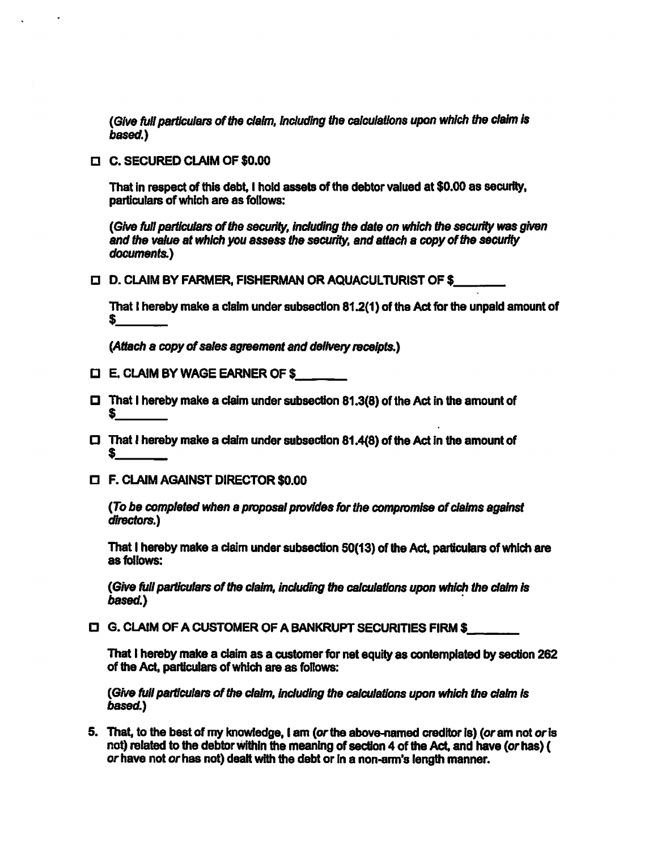(Give full particulars of the claim, including the calculations upon which the claim is based.)

D C. SECURED CLAIM OF \$0.00

That in respect of this debt, I hold assets of the debtor valued at \$0.00 as security, particulars of which are as follows:

(Give full particulars of the security, including the date on which the security was given and the value at which you assess the security, and attach a copy of the security documents.)

0 D. CLAIM BY FARMER, FISHERMAN OR AQUACULTURIST OF \$

That I hereby make a claim under subsection 81.2(1) of the Act for the unpaid amount of

(Attach a copy of sales agreement and delivery receipts.)

- O E. CLAIM BY WAGE EARNER OF \$
- $\square$  That I hereby make a claim under subsection 81.3(8) of the Act in the amount of \$
- $\Box$  That I hereby make a claim under subsection 81.4(8) of the Act in the amount of  $\sim$   $\sim$
- O F. CLAIM AGAINST DIRECTOR \$0.00

(To be completed when a proposal provides for the compromise of claims against directors.)

That I hereby make a claim under subsection 50(13) of the Act, particulars of which are as follows:

(Give full particulars of the claim, including the calculations upon which the claim is based.)

O G. CLAIM OF A CUSTOMER OF A BANKRUPT SECURITIES FIRM \$

That I hereby make a claim as a customer for net equity as contemplated by section 262 of the Act, particulars of which are as follows:

(Give full particulars of the claim, including the calculations upon which the claim is based.)

5. That, to the best of my knowledge, I am (or the above-named creditor is) (or am not or is not) related to the debtor within the meaning of section 4 of the Act, and have (or has) ( or have not or has not) dealt with the debt or in a non-arm's length manner.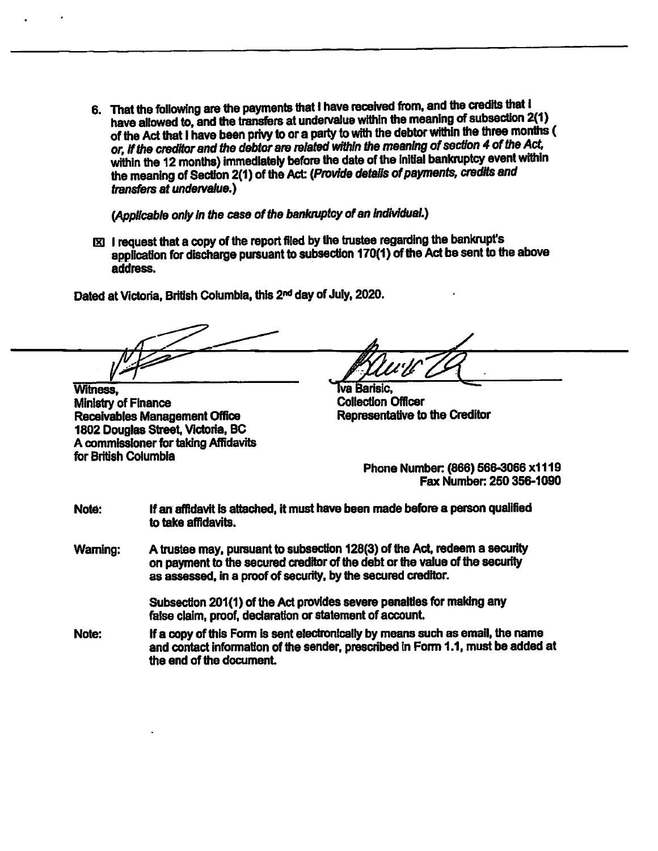6. That the following are the payments that I have received from, and the credits that I have allowed to, and the transfers at undervalue within the meaning of subsection 2(1) of the Act that I have been privy to or a party to with the debtor within the three months ( or, if the creditor and the debtor are related within the meaning of section 4 of the Act, within the 12 months) immediately before the date of the initial bankruptcy event within the meaning of Section 2(1) of the Act: (Provide details of payments, credits and transfers at undervalue.)

(Applicable only in the case of the bankruptcy of an individual.)

1E3 I request that a copy of the report filed by the trustee regarding the bankrupt's application for discharge pursuant to subsection 170(1) of the Act be sent to the above address.

Dated at Victoria, British Columbia, this 2nd day of July, 2020.

Witness, Witness, Witness, Washington Collection Officer

Ministry of Finance<br>
Receivables Management Office<br>
Representative to the Creditor Receivables Management Office 1802 Douglas Street, Victoria, BC A commissioner for taking Affidavits for British Columbia

Phone Number (866) 566-3066 x1119 Fax Number: 250 356-1090

Note: If an affidavit is attached, it must have been made before a person qualified to take affidavits.

Warning: A trustee may, pursuant to subsection 128(3) of the Act, redeem a security on payment to the secured creditor of the debt or the value of the security as assessed. in a proof of security, by the secured creditor.

> Subsection 201(1) of the Act provides severe penalties for making any false claim, proof, declaration or statement of account.

Note: if a copy of this Form is sent electronically by means such as email, the name and contact information of the sender, prescribed in Form 1.1, must be added at the end of the document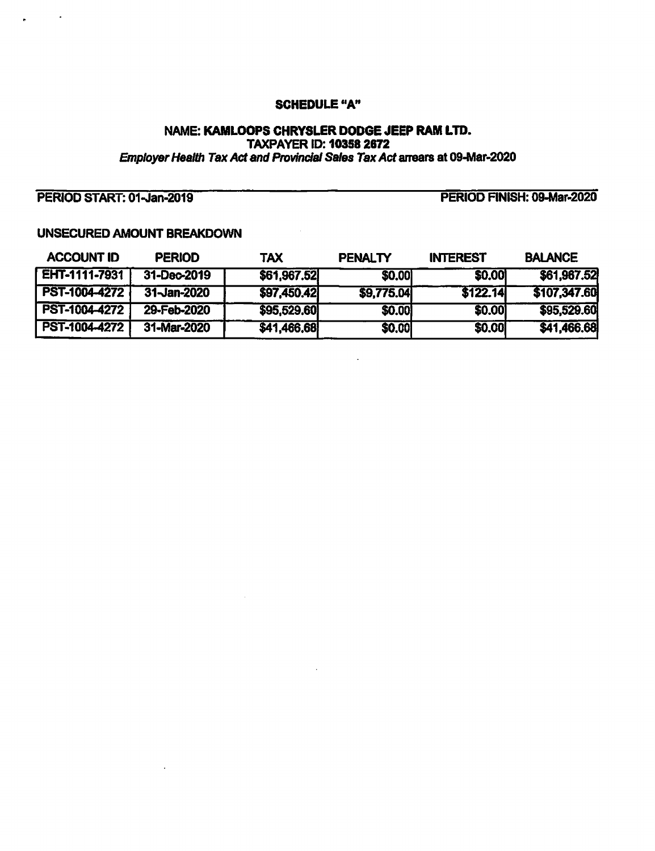#### SCHEDULE "A"

#### NAME: KAMLOOPS CHRYSLER DODGE JEEP RAM LTD. TAXPAYER ID: 10358 2672 Employer Health Tax Act and Provincial Sales Tax Act arrears at 09-Mar-2020

## PERIOD START: 01-Jan-2019

 $\sim 10^{-11}$   $\bullet$ 

PERIOD FINISH: 09-Mar•2020

## UNSECURED AMOUNT BREAKDOWN

| <b>ACCOUNT ID</b> | <b>PERIOD</b> | TAX         | <b>PENALTY</b> | <b>INTEREST</b> | <b>BALANCE</b> |
|-------------------|---------------|-------------|----------------|-----------------|----------------|
| EHT-1111-7931     | 31-Dec-2019   | \$61,967.52 | <b>\$0.00</b>  | \$0,00          | \$61,967.52    |
| PST-1004-4272     | 31-Jan-2020   | \$97,450.42 | \$9,775.04     | \$122.14        | \$107,347.60   |
| PST-1004-4272     | 29-Feb-2020   | \$95,529.60 | \$0.00         | \$0.00          | \$95,529.60    |
| PST-1004-4272     | 31-Mar-2020   | \$41,466.68 | \$0.00         | \$0.00          | \$41,466.68    |

 $\ddot{\phantom{a}}$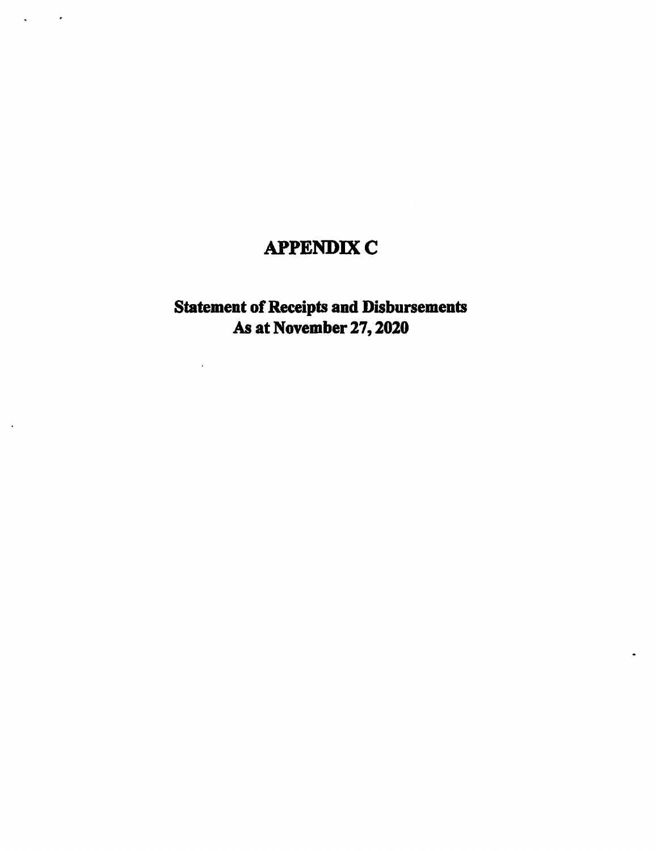# APPENDIX C

 $\sim 10^{-11}$   $\sigma$ 

 $\ddot{\phantom{1}}$ 

 $\ddot{\phantom{a}}$ 

## Statement of Receipts and Disbursements As at November 27, 2020

l,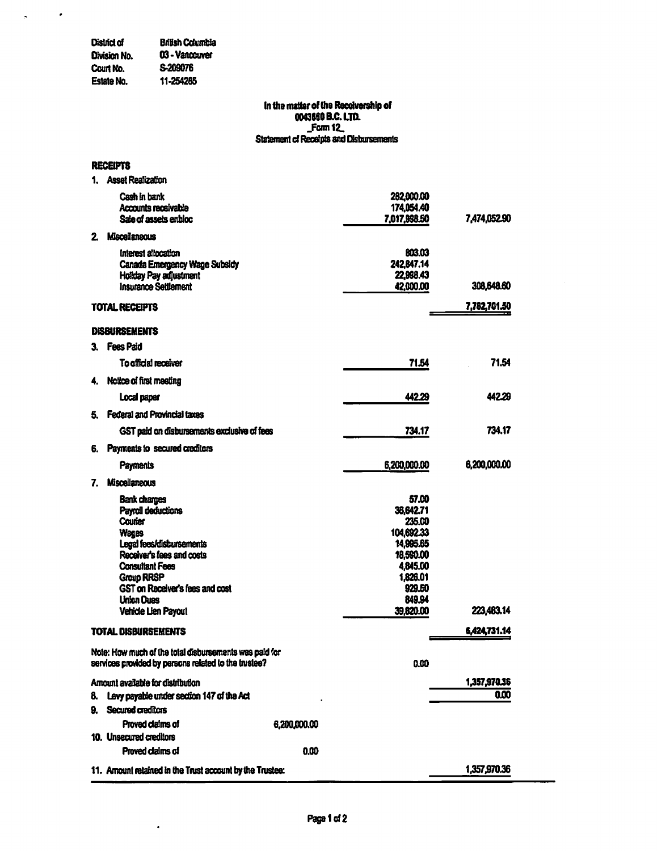#### District of British Columbia<br>Division No. 03 - Vancouver 03 - Vancouver<br>S-209076 Court No.<br>Estate No. Estate No. 11-254285

 $\ddot{\phantom{0}}$ 

#### In the matter of the Receivership of 0043660 B.C. LTD. Form 12\_ Statement of Receipts and Disbursements

#### RECEIPTS

 $\mathcal{L}_{\mathcal{L}}$ 

 $\mathbf{A}$ 

|    | <b>Asset Realization</b>                                                                                                                                                                                                                             |              |                                                                                                                               |              |
|----|------------------------------------------------------------------------------------------------------------------------------------------------------------------------------------------------------------------------------------------------------|--------------|-------------------------------------------------------------------------------------------------------------------------------|--------------|
|    | Cash in bank<br>Accounts receivable<br>Sale of assets enbloc                                                                                                                                                                                         |              | 282,000.00<br>174,054.40<br>7,017,998.50                                                                                      | 7,474,052.90 |
| 2. | <b>Miscellaneous</b>                                                                                                                                                                                                                                 |              |                                                                                                                               |              |
|    | Interest allocation<br>Canada Emergency Wage Subsidy<br><b>Holiday Pay adjustment</b><br><b>Insurance Settlement</b>                                                                                                                                 |              | 803.03<br>242,847.14<br>22,998.43<br>42,000.00                                                                                | 308,648.60   |
|    | <b>TOTAL RECEPTS</b>                                                                                                                                                                                                                                 |              |                                                                                                                               | 7,782,701.50 |
|    | <b>DISBURSEMENTS</b>                                                                                                                                                                                                                                 |              |                                                                                                                               |              |
| З. | <b>Fees Paid</b>                                                                                                                                                                                                                                     |              |                                                                                                                               |              |
|    | <b>To official receiver</b>                                                                                                                                                                                                                          |              | 71.54                                                                                                                         | 71.54        |
| 4. | Notice of first meeting                                                                                                                                                                                                                              |              |                                                                                                                               |              |
|    | Local paper                                                                                                                                                                                                                                          |              | 442.29                                                                                                                        | 442.29       |
| 5. | Federal and Provincial taxes                                                                                                                                                                                                                         |              |                                                                                                                               |              |
|    | GST paid on disbursements exclusive of fees                                                                                                                                                                                                          |              | 734.17                                                                                                                        | 734.17       |
| 6. | Payments to secured creditors                                                                                                                                                                                                                        |              |                                                                                                                               |              |
|    | Payments                                                                                                                                                                                                                                             |              | 6,200,000.00                                                                                                                  | 6,200,000.00 |
|    | <b>Miscellaneous</b>                                                                                                                                                                                                                                 |              |                                                                                                                               |              |
| 7. |                                                                                                                                                                                                                                                      |              |                                                                                                                               |              |
|    | <b>Bank charges</b><br>Payroll deductions<br>Courier<br><b>Wages</b><br>Legal fees/disbursements<br>Receiver's fees and costs<br><b>Consultant Fees</b><br>Group RRSP<br>GST on Receiver's fees and cost<br><b>Union Dues</b><br>Vehicle Lien Payout |              | 57.00<br>36.642.71<br>235.00<br>104,692.33<br>14,995.65<br>18,590.00<br>4,845.00<br>1,826.01<br>929.50<br>849.94<br>39,820.00 | 223,483.14   |
|    | <b>TOTAL DISBURSEMENTS</b>                                                                                                                                                                                                                           |              |                                                                                                                               | 6,424,731.14 |
|    | Note: How much of the total disbursements was paid for                                                                                                                                                                                               |              |                                                                                                                               |              |
|    | services provided by persons related to the trustee?                                                                                                                                                                                                 |              | 0.00                                                                                                                          |              |
|    | Arrount available for distribution                                                                                                                                                                                                                   |              |                                                                                                                               | 1,357,970.36 |
| 8. | Levy payable under section 147 of the Act                                                                                                                                                                                                            |              |                                                                                                                               | 0.00         |
| 9. | Secured creditors                                                                                                                                                                                                                                    |              |                                                                                                                               |              |
|    | Proved claims of<br>10. Unsecured creditors                                                                                                                                                                                                          | 6,200,000.00 |                                                                                                                               |              |
|    | Proved claims of                                                                                                                                                                                                                                     | 0.00         |                                                                                                                               |              |
|    | 11. Amount retained in the Trust account by the Trustee:                                                                                                                                                                                             |              |                                                                                                                               | 1,357,970.36 |